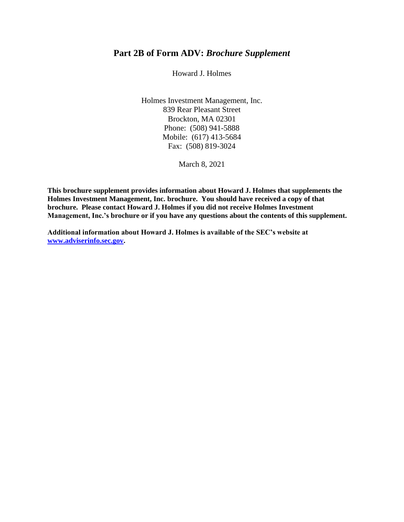# **Part 2B of Form ADV:** *Brochure Supplement*

Howard J. Holmes

Holmes Investment Management, Inc. 839 Rear Pleasant Street Brockton, MA 02301 Phone: (508) 941-5888 Mobile: (617) 413-5684 Fax: (508) 819-3024

March 8, 2021

**This brochure supplement provides information about Howard J. Holmes that supplements the Holmes Investment Management, Inc. brochure. You should have received a copy of that brochure. Please contact Howard J. Holmes if you did not receive Holmes Investment Management, Inc.'s brochure or if you have any questions about the contents of this supplement.**

**Additional information about Howard J. Holmes is available of the SEC's website at [www.adviserinfo.sec.gov.](http://www.adviserinfo.sec.gov/)**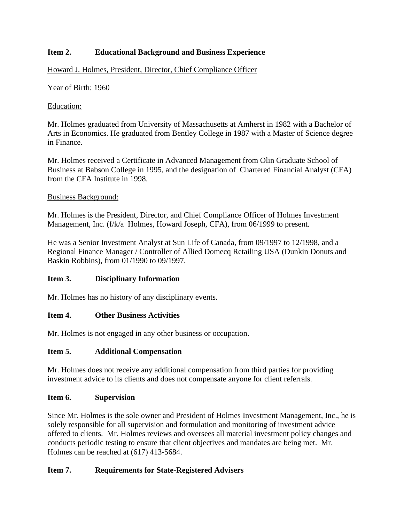# **Item 2. Educational Background and Business Experience**

### Howard J. Holmes, President, Director, Chief Compliance Officer

Year of Birth: 1960

#### Education:

Mr. Holmes graduated from University of Massachusetts at Amherst in 1982 with a Bachelor of Arts in Economics. He graduated from Bentley College in 1987 with a Master of Science degree in Finance.

Mr. Holmes received a Certificate in Advanced Management from Olin Graduate School of Business at Babson College in 1995, and the designation of Chartered Financial Analyst (CFA) from the CFA Institute in 1998.

#### Business Background:

Mr. Holmes is the President, Director, and Chief Compliance Officer of Holmes Investment Management, Inc. (f/k/a Holmes, Howard Joseph, CFA), from 06/1999 to present.

He was a Senior Investment Analyst at Sun Life of Canada, from 09/1997 to 12/1998, and a Regional Finance Manager / Controller of Allied Domecq Retailing USA (Dunkin Donuts and Baskin Robbins), from 01/1990 to 09/1997.

### **Item 3. Disciplinary Information**

Mr. Holmes has no history of any disciplinary events.

### **Item 4. Other Business Activities**

Mr. Holmes is not engaged in any other business or occupation.

#### **Item 5. Additional Compensation**

Mr. Holmes does not receive any additional compensation from third parties for providing investment advice to its clients and does not compensate anyone for client referrals.

#### **Item 6. Supervision**

Since Mr. Holmes is the sole owner and President of Holmes Investment Management, Inc., he is solely responsible for all supervision and formulation and monitoring of investment advice offered to clients. Mr. Holmes reviews and oversees all material investment policy changes and conducts periodic testing to ensure that client objectives and mandates are being met. Mr. Holmes can be reached at (617) 413-5684.

### **Item 7. Requirements for State-Registered Advisers**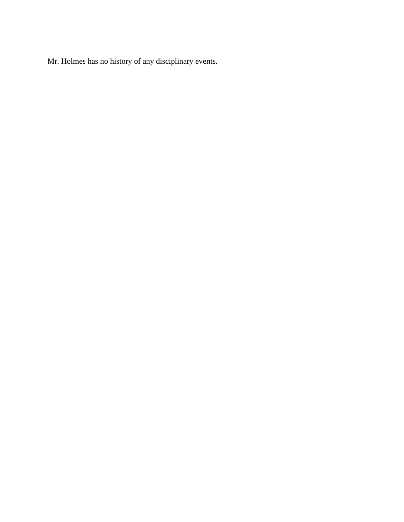Mr. Holmes has no history of any disciplinary events.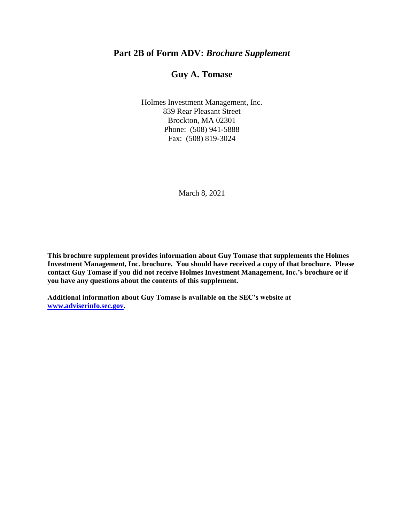# **Part 2B of Form ADV:** *Brochure Supplement*

# **Guy A. Tomase**

Holmes Investment Management, Inc. 839 Rear Pleasant Street Brockton, MA 02301 Phone: (508) 941-5888 Fax: (508) 819-3024

March 8, 2021

**This brochure supplement provides information about Guy Tomase that supplements the Holmes Investment Management, Inc. brochure. You should have received a copy of that brochure. Please contact Guy Tomase if you did not receive Holmes Investment Management, Inc.'s brochure or if you have any questions about the contents of this supplement.**

**Additional information about Guy Tomase is available on the SEC's website at [www.adviserinfo.sec.gov.](http://www.adviserinfo.sec.gov/)**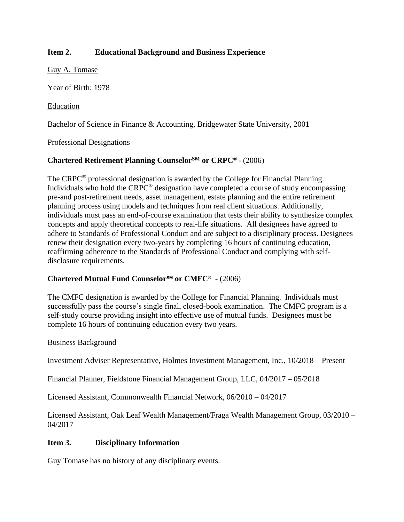# **Item 2. Educational Background and Business Experience**

Guy A. Tomase

Year of Birth: 1978

#### Education

Bachelor of Science in Finance & Accounting, Bridgewater State University, 2001

#### Professional Designations

# **Chartered Retirement Planning CounselorSM or CRPC®**  - (2006)

The CRPC® professional designation is awarded by the College for Financial Planning. Individuals who hold the CRPC® designation have completed a course of study encompassing pre-and post-retirement needs, asset management, estate planning and the entire retirement planning process using models and techniques from real client situations. Additionally, individuals must pass an end-of-course examination that tests their ability to synthesize complex concepts and apply theoretical concepts to real-life situations. All designees have agreed to adhere to Standards of Professional Conduct and are subject to a disciplinary process. Designees renew their designation every two-years by completing 16 hours of continuing education, reaffirming adherence to the Standards of Professional Conduct and complying with selfdisclosure requirements.

### **Chartered Mutual Fund CounselorSM or CMFC®** - (2006)

The CMFC designation is awarded by the College for Financial Planning. Individuals must successfully pass the course's single final, closed-book examination. The CMFC program is a self-study course providing insight into effective use of mutual funds. Designees must be complete 16 hours of continuing education every two years.

#### Business Background

Investment Adviser Representative, Holmes Investment Management, Inc., 10/2018 – Present

Financial Planner, Fieldstone Financial Management Group, LLC, 04/2017 – 05/2018

Licensed Assistant, Commonwealth Financial Network, 06/2010 – 04/2017

Licensed Assistant, Oak Leaf Wealth Management/Fraga Wealth Management Group, 03/2010 – 04/2017

### **Item 3. Disciplinary Information**

Guy Tomase has no history of any disciplinary events.